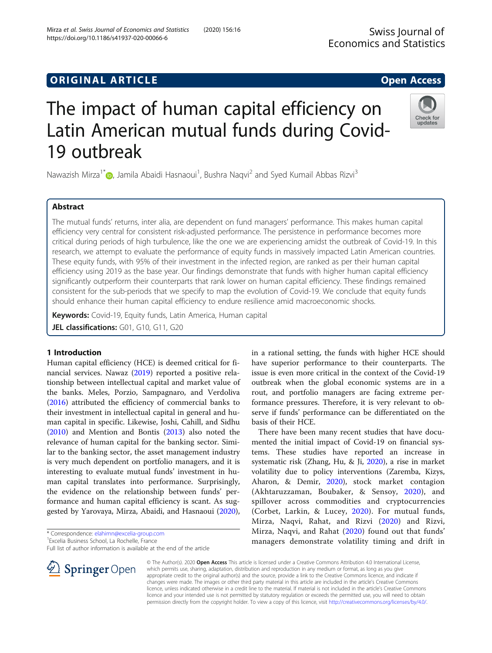## **ORIGINAL ARTICLE CONSERVANCE CONSERVANCE Open Access**

# The impact of human capital efficiency on Latin American mutual funds during Covid-19 outbreak

Nawazish Mirza<sup>1\*</sup> [,](http://orcid.org/0000-0003-4265-9519) Jamila Abaidi Hasnaoui<sup>1</sup>, Bushra Naqvi<sup>2</sup> and Syed Kumail Abbas Rizvi<sup>3</sup>

### Abstract

The mutual funds' returns, inter alia, are dependent on fund managers' performance. This makes human capital efficiency very central for consistent risk-adjusted performance. The persistence in performance becomes more critical during periods of high turbulence, like the one we are experiencing amidst the outbreak of Covid-19. In this research, we attempt to evaluate the performance of equity funds in massively impacted Latin American countries. These equity funds, with 95% of their investment in the infected region, are ranked as per their human capital efficiency using 2019 as the base year. Our findings demonstrate that funds with higher human capital efficiency significantly outperform their counterparts that rank lower on human capital efficiency. These findings remained consistent for the sub-periods that we specify to map the evolution of Covid-19. We conclude that equity funds should enhance their human capital efficiency to endure resilience amid macroeconomic shocks.

Keywords: Covid-19, Equity funds, Latin America, Human capital

JEL classifications: G01, G10, G11, G20

#### 1 Introduction

Human capital efficiency (HCE) is deemed critical for financial services. Nawaz [\(2019\)](#page-6-0) reported a positive relationship between intellectual capital and market value of the banks. Meles, Porzio, Sampagnaro, and Verdoliva ([2016](#page-6-0)) attributed the efficiency of commercial banks to their investment in intellectual capital in general and human capital in specific. Likewise, Joshi, Cahill, and Sidhu ([2010](#page-6-0)) and Mention and Bontis [\(2013\)](#page-6-0) also noted the relevance of human capital for the banking sector. Similar to the banking sector, the asset management industry is very much dependent on portfolio managers, and it is interesting to evaluate mutual funds' investment in human capital translates into performance. Surprisingly, the evidence on the relationship between funds' performance and human capital efficiency is scant. As suggested by Yarovaya, Mirza, Abaidi, and Hasnaoui ([2020](#page-6-0)),

\* Correspondence: [elahimn@excelia-group.com](mailto:elahimn@excelia-group.com) <sup>1</sup>

<sup>1</sup> Excelia Business School, La Rochelle, France

Full list of author information is available at the end of the article

© The Author(s). 2020 Open Access This article is licensed under a Creative Commons Attribution 4.0 International License, which permits use, sharing, adaptation, distribution and reproduction in any medium or format, as long as you give appropriate credit to the original author(s) and the source, provide a link to the Creative Commons licence, and indicate if changes were made. The images or other third party material in this article are included in the article's Creative Commons licence, unless indicated otherwise in a credit line to the material. If material is not included in the article's Creative Commons licence and your intended use is not permitted by statutory regulation or exceeds the permitted use, you will need to obtain permission directly from the copyright holder. To view a copy of this licence, visit <http://creativecommons.org/licenses/by/4.0/>.

in a rational setting, the funds with higher HCE should have superior performance to their counterparts. The issue is even more critical in the context of the Covid-19 outbreak when the global economic systems are in a rout, and portfolio managers are facing extreme performance pressures. Therefore, it is very relevant to observe if funds' performance can be differentiated on the basis of their HCE.

There have been many recent studies that have documented the initial impact of Covid-19 on financial systems. These studies have reported an increase in systematic risk (Zhang, Hu, & Ji, [2020\)](#page-6-0), a rise in market volatility due to policy interventions (Zaremba, Kizys, Aharon, & Demir, [2020\)](#page-6-0), stock market contagion (Akhtaruzzaman, Boubaker, & Sensoy, [2020\)](#page-6-0), and spillover across commodities and cryptocurrencies (Corbet, Larkin, & Lucey, [2020](#page-6-0)). For mutual funds, Mirza, Naqvi, Rahat, and Rizvi ([2020](#page-6-0)) and Rizvi, Mirza, Naqvi, and Rahat ([2020](#page-6-0)) found out that funds' managers demonstrate volatility timing and drift in





Check for undates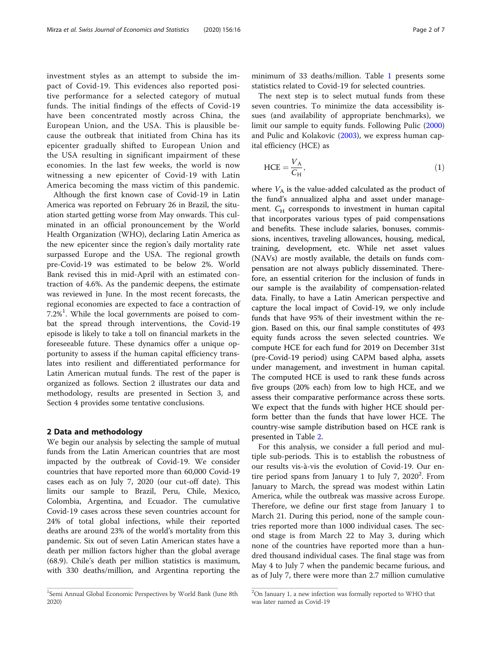investment styles as an attempt to subside the impact of Covid-19. This evidences also reported positive performance for a selected category of mutual funds. The initial findings of the effects of Covid-19 have been concentrated mostly across China, the European Union, and the USA. This is plausible because the outbreak that initiated from China has its epicenter gradually shifted to European Union and the USA resulting in significant impairment of these economies. In the last few weeks, the world is now witnessing a new epicenter of Covid-19 with Latin America becoming the mass victim of this pandemic.

Although the first known case of Covid-19 in Latin America was reported on February 26 in Brazil, the situation started getting worse from May onwards. This culminated in an official pronouncement by the World Health Organization (WHO), declaring Latin America as the new epicenter since the region's daily mortality rate surpassed Europe and the USA. The regional growth pre-Covid-19 was estimated to be below 2%. World Bank revised this in mid-April with an estimated contraction of 4.6%. As the pandemic deepens, the estimate was reviewed in June. In the most recent forecasts, the regional economies are expected to face a contraction of  $7.2\%$ <sup>1</sup>. While the local governments are poised to combat the spread through interventions, the Covid-19 episode is likely to take a toll on financial markets in the foreseeable future. These dynamics offer a unique opportunity to assess if the human capital efficiency translates into resilient and differentiated performance for Latin American mutual funds. The rest of the paper is organized as follows. Section 2 illustrates our data and methodology, results are presented in Section 3, and Section 4 provides some tentative conclusions.

#### 2 Data and methodology

We begin our analysis by selecting the sample of mutual funds from the Latin American countries that are most impacted by the outbreak of Covid-19. We consider countries that have reported more than 60,000 Covid-19 cases each as on July 7, 2020 (our cut-off date). This limits our sample to Brazil, Peru, Chile, Mexico, Colombia, Argentina, and Ecuador. The cumulative Covid-19 cases across these seven countries account for 24% of total global infections, while their reported deaths are around 23% of the world's mortality from this pandemic. Six out of seven Latin American states have a death per million factors higher than the global average (68.9). Chile's death per million statistics is maximum, with 330 deaths/million, and Argentina reporting the

minimum of 33 deaths/million. Table [1](#page-2-0) presents some statistics related to Covid-19 for selected countries.

The next step is to select mutual funds from these seven countries. To minimize the data accessibility issues (and availability of appropriate benchmarks), we limit our sample to equity funds. Following Pulic ([2000](#page-6-0)) and Pulic and Kolakovic [\(2003\)](#page-6-0), we express human capital efficiency (HCE) as

$$
\text{HCE} = \frac{V_{\text{A}}}{C_{\text{H}}},\tag{1}
$$

where  $V_A$  is the value-added calculated as the product of the fund's annualized alpha and asset under management.  $C_H$  corresponds to investment in human capital that incorporates various types of paid compensations and benefits. These include salaries, bonuses, commissions, incentives, traveling allowances, housing, medical, training, development, etc. While net asset values (NAVs) are mostly available, the details on funds compensation are not always publicly disseminated. Therefore, an essential criterion for the inclusion of funds in our sample is the availability of compensation-related data. Finally, to have a Latin American perspective and capture the local impact of Covid-19, we only include funds that have 95% of their investment within the region. Based on this, our final sample constitutes of 493 equity funds across the seven selected countries. We compute HCE for each fund for 2019 on December 31st (pre-Covid-19 period) using CAPM based alpha, assets under management, and investment in human capital. The computed HCE is used to rank these funds across five groups (20% each) from low to high HCE, and we assess their comparative performance across these sorts. We expect that the funds with higher HCE should perform better than the funds that have lower HCE. The country-wise sample distribution based on HCE rank is presented in Table [2](#page-2-0).

For this analysis, we consider a full period and multiple sub-periods. This is to establish the robustness of our results vis-à-vis the evolution of Covid-19. Our entire period spans from January 1 to July 7,  $2020^2$ . From January to March, the spread was modest within Latin America, while the outbreak was massive across Europe. Therefore, we define our first stage from January 1 to March 21. During this period, none of the sample countries reported more than 1000 individual cases. The second stage is from March 22 to May 3, during which none of the countries have reported more than a hundred thousand individual cases. The final stage was from May 4 to July 7 when the pandemic became furious, and as of July 7, there were more than 2.7 million cumulative

<sup>&</sup>lt;sup>1</sup>Semi Annual Global Economic Perspectives by World Bank (June 8th 2020)

<sup>&</sup>lt;sup>2</sup>On January 1, a new infection was formally reported to WHO that was later named as Covid-19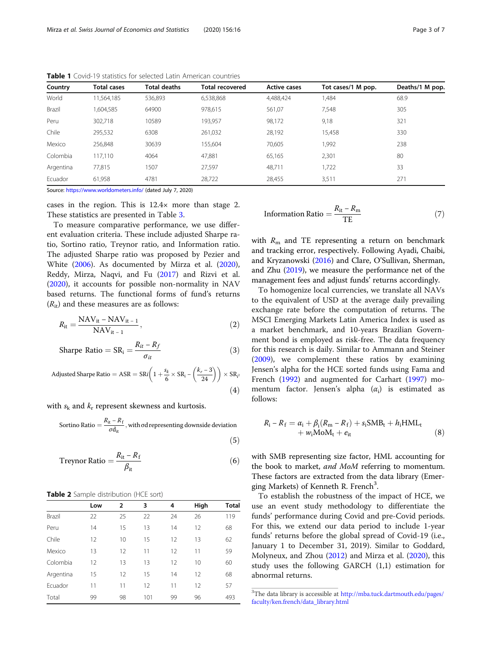| Country       | <b>Total cases</b> | <b>Total deaths</b> | <b>Total recovered</b> | <b>Active cases</b> | Tot cases/1 M pop. | Deaths/1 M pop. |
|---------------|--------------------|---------------------|------------------------|---------------------|--------------------|-----------------|
| World         | 11,564,185         | 536,893             | 6,538,868              | 4,488,424           | 1,484              | 68.9            |
| <b>Brazil</b> | 604,585            | 64900               | 978,615                | 561,07              | 7,548              | 305             |
| Peru          | 302,718            | 10589               | 193,957                | 98,172              | 9,18               | 321             |
| Chile         | 295,532            | 6308                | 261,032                | 28,192              | 15,458             | 330             |
| Mexico        | 256,848            | 30639               | 155,604                | 70,605              | 1,992              | 238             |
| Colombia      | 117,110            | 4064                | 47,881                 | 65,165              | 2,301              | 80              |
| Argentina     | 77,815             | 1507                | 27,597                 | 48.711              | 1,722              | 33              |
| Ecuador       | 61,958             | 4781                | 28,722                 | 28,455              | 3,511              | 271             |
|               |                    |                     |                        |                     |                    |                 |

 $(5)$ 

<span id="page-2-0"></span>Table 1 Covid-19 statistics for selected Latin American countries

Source: <https://www.worldometers.info/> (dated July 7, 2020)

cases in the region. This is 12.4× more than stage 2. These statistics are presented in Table [3.](#page-3-0)

To measure comparative performance, we use different evaluation criteria. These include adjusted Sharpe ratio, Sortino ratio, Treynor ratio, and Information ratio. The adjusted Sharpe ratio was proposed by Pezier and White [\(2006\)](#page-6-0). As documented by Mirza et al. ([2020](#page-6-0)), Reddy, Mirza, Naqvi, and Fu [\(2017](#page-6-0)) and Rizvi et al. ([2020](#page-6-0)), it accounts for possible non-normality in NAV based returns. The functional forms of fund's returns  $(R_{it})$  and these measures are as follows:

$$
R_{it} = \frac{NAV_{it} - NAV_{it-1}}{NAV_{it-1}},\tag{2}
$$

$$
\text{Sharpe Ratio} = \text{SR}_i = \frac{R_{it} - R_f}{\sigma_{it}} \tag{3}
$$

Adjusted Sharpe Ratio = ASR = SRi

\n
$$
\left(1 + \frac{s_k}{6} \times SR_i - \left(\frac{k_r - 3}{24}\right)\right) \times SR_i
$$
\n(4)

with  $s_k$  and  $k_r$  represent skewness and kurtosis.

Sortino Ratio  $=$   $\frac{R_{\text{it}} - R_{\text{f}}}{\sigma d_{\text{it}}}$ , with  $\sigma$ d representing downside deviation

Treynor Ratio = 
$$
\frac{R_{it} - R_f}{\beta_{it}}
$$
 (6)

|  |  | <b>Table 2</b> Sample distribution (HCE sort) |  |  |
|--|--|-----------------------------------------------|--|--|
|--|--|-----------------------------------------------|--|--|

|           | Low | $\overline{2}$ | 3   | 4  | High | <b>Total</b> |
|-----------|-----|----------------|-----|----|------|--------------|
| Brazil    | 22  | 25             | 22  | 24 | 26   | 119          |
| Peru      | 14  | 15             | 13  | 14 | 12   | 68           |
| Chile     | 12  | 10             | 15  | 12 | 13   | 62           |
| Mexico    | 13  | 12             | 11  | 12 | 11   | 59           |
| Colombia  | 12  | 13             | 13  | 12 | 10   | 60           |
| Argentina | 15  | 12             | 15  | 14 | 12   | 68           |
| Ecuador   | 11  | 11             | 12  | 11 | 12   | 57           |
| Total     | 99  | 98             | 101 | 99 | 96   | 493          |

Information Ratio = 
$$
\frac{R_{\text{it}} - R_{\text{m}}}{\text{T}E}
$$
 (7)

with  $R_{\rm m}$  and TE representing a return on benchmark and tracking error, respectively. Following Ayadi, Chaibi, and Kryzanowski [\(2016\)](#page-6-0) and Clare, O'Sullivan, Sherman, and Zhu [\(2019](#page-6-0)), we measure the performance net of the management fees and adjust funds' returns accordingly.

To homogenize local currencies, we translate all NAVs to the equivalent of USD at the average daily prevailing exchange rate before the computation of returns. The MSCI Emerging Markets Latin America Index is used as a market benchmark, and 10-years Brazilian Government bond is employed as risk-free. The data frequency for this research is daily. Similar to Ammann and Steiner ([2009\)](#page-6-0), we complement these ratios by examining Jensen's alpha for the HCE sorted funds using Fama and French ([1992\)](#page-6-0) and augmented for Carhart [\(1997\)](#page-6-0) momentum factor. Jensen's alpha  $(\alpha_i)$  is estimated as follows:

$$
R_{i}-R_{f} = \alpha_{i} + \beta_{i}(R_{m}-R_{f}) + s_{i}SMB_{t} + h_{i}HML_{t}
$$
  
+  $w_{i}MoM_{t} + e_{it}$  (8)

with SMB representing size factor, HML accounting for the book to market, and MoM referring to momentum. These factors are extracted from the data library (Emerging Markets) of Kenneth R. French<sup>3</sup>.

To establish the robustness of the impact of HCE, we use an event study methodology to differentiate the funds' performance during Covid and pre-Covid periods. For this, we extend our data period to include 1-year funds' returns before the global spread of Covid-19 (i.e., January 1 to December 31, 2019). Similar to Goddard, Molyneux, and Zhou ([2012](#page-6-0)) and Mirza et al. ([2020](#page-6-0)), this study uses the following GARCH (1,1) estimation for abnormal returns.

<sup>&</sup>lt;sup>3</sup>The data library is accessible at [http://mba.tuck.dartmouth.edu/pages/](http://mba.tuck.dartmouth.edu/pages/faculty/ken.french/data_library.html) [faculty/ken.french/data\\_library.html](http://mba.tuck.dartmouth.edu/pages/faculty/ken.french/data_library.html)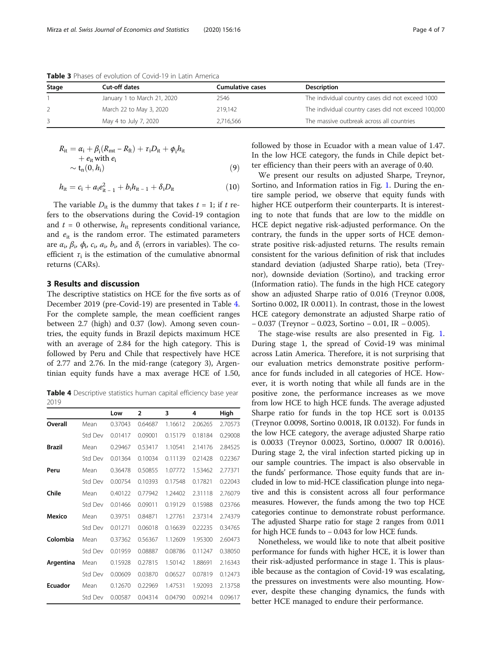| Stage | Cut-off dates               | Cumulative cases | <b>Description</b>                                  |
|-------|-----------------------------|------------------|-----------------------------------------------------|
|       | January 1 to March 21, 2020 | 2546             | The individual country cases did not exceed 1000    |
|       | March 22 to May 3, 2020     | 219.142          | The individual country cases did not exceed 100,000 |
|       | May 4 to July 7, 2020       | 2.716.566        | The massive outbreak across all countries           |

<span id="page-3-0"></span>Table 3 Phases of evolution of Covid-19 in Latin America

$$
R_{it} = \alpha_i + \beta_i (R_{int} - R_{ft}) + \tau_i D_{it} + \phi_i h_{it}
$$
  
+  $e_{it}$  with  $e_i$   
 $\sim t_n (0, h_i)$  (9)

$$
h_{it} = c_i + a_i e_{it-1}^2 + b_i h_{it-1} + \delta_i D_{it}
$$
 (10)

The variable  $D_{it}$  is the dummy that takes  $t = 1$ ; if t refers to the observations during the Covid-19 contagion and  $t = 0$  otherwise,  $h_{it}$  represents conditional variance, and  $e_{it}$  is the random error. The estimated parameters are  $\alpha_i$ ,  $\beta_i$ ,  $\phi_i$ ,  $c_i$ ,  $a_i$ ,  $b_i$ , and  $\delta_i$  (errors in variables). The coefficient  $\tau_i$  is the estimation of the cumulative abnormal returns (CARs).

#### 3 Results and discussion

The descriptive statistics on HCE for the five sorts as of December 2019 (pre-Covid-19) are presented in Table 4. For the complete sample, the mean coefficient ranges between 2.7 (high) and 0.37 (low). Among seven countries, the equity funds in Brazil depicts maximum HCE with an average of 2.84 for the high category. This is followed by Peru and Chile that respectively have HCE of 2.77 and 2.76. In the mid-range (category 3), Argentinian equity funds have a max average HCE of 1.50,

Table 4 Descriptive statistics human capital efficiency base year 2019

|               |         | Low     | $\overline{2}$ | 3       | 4       | High    |
|---------------|---------|---------|----------------|---------|---------|---------|
| Overall       | Mean    | 0.37043 | 0.64687        | 1.16612 | 2.06265 | 2.70573 |
|               | Std Dev | 0.01417 | 0.09001        | 0.15179 | 0.18184 | 0.29008 |
| <b>Brazil</b> | Mean    | 0.29467 | 0.53417        | 1.10541 | 2.14176 | 2.84525 |
|               | Std Dev | 0.01364 | 0.10034        | 0.11139 | 0.21428 | 0.22367 |
| Peru          | Mean    | 0.36478 | 0.50855        | 1.07772 | 1.53462 | 2.77371 |
|               | Std Dev | 0.00754 | 0.10393        | 0.17548 | 0.17821 | 0.22043 |
| Chile         | Mean    | 0.40122 | 0.77942        | 1.24402 | 2.31118 | 2.76079 |
|               | Std Dev | 0.01466 | 0.09011        | 0.19129 | 0.15988 | 0.23766 |
| Mexico        | Mean    | 0.39751 | 0.84871        | 1.27761 | 2.37314 | 2.74379 |
|               | Std Dev | 0.01271 | 0.06018        | 0.16639 | 0.22235 | 0.34765 |
| Colombia      | Mean    | 0.37362 | 0.56367        | 1.12609 | 1.95300 | 2.60473 |
|               | Std Dev | 0.01959 | 0.08887        | 0.08786 | 0.11247 | 0.38050 |
| Argentina     | Mean    | 0.15928 | 0.27815        | 1.50142 | 1.88691 | 2.16343 |
|               | Std Dev | 0.00609 | 0.03870        | 0.06527 | 0.07819 | 0.12473 |
| Ecuador       | Mean    | 0.12670 | 0.22969        | 1.47531 | 1.92093 | 2.13758 |
|               | Std Dev | 0.00587 | 0.04314        | 0.04790 | 0.09214 | 0.09617 |

followed by those in Ecuador with a mean value of 1.47. In the low HCE category, the funds in Chile depict better efficiency than their peers with an average of 0.40.

We present our results on adjusted Sharpe, Treynor, Sortino, and Information ratios in Fig. [1](#page-4-0). During the entire sample period, we observe that equity funds with higher HCE outperform their counterparts. It is interesting to note that funds that are low to the middle on HCE depict negative risk-adjusted performance. On the contrary, the funds in the upper sorts of HCE demonstrate positive risk-adjusted returns. The results remain consistent for the various definition of risk that includes standard deviation (adjusted Sharpe ratio), beta (Treynor), downside deviation (Sortino), and tracking error (Information ratio). The funds in the high HCE category show an adjusted Sharpe ratio of 0.016 (Treynor 0.008, Sortino 0.002, IR 0.0011). In contrast, those in the lowest HCE category demonstrate an adjusted Sharpe ratio of − 0.037 (Treynor − 0.023, Sortino − 0.01, IR − 0.005).

The stage-wise results are also presented in Fig. [1](#page-4-0). During stage 1, the spread of Covid-19 was minimal across Latin America. Therefore, it is not surprising that our evaluation metrics demonstrate positive performance for funds included in all categories of HCE. However, it is worth noting that while all funds are in the positive zone, the performance increases as we move from low HCE to high HCE funds. The average adjusted Sharpe ratio for funds in the top HCE sort is 0.0135 (Treynor 0.0098, Sortino 0.0018, IR 0.0132). For funds in the low HCE category, the average adjusted Sharpe ratio is 0.0033 (Treynor 0.0023, Sortino, 0.0007 IR 0.0016). During stage 2, the viral infection started picking up in our sample countries. The impact is also observable in the funds' performance. Those equity funds that are included in low to mid-HCE classification plunge into negative and this is consistent across all four performance measures. However, the funds among the two top HCE categories continue to demonstrate robust performance. The adjusted Sharpe ratio for stage 2 ranges from 0.011 for high HCE funds to − 0.043 for low HCE funds.

Nonetheless, we would like to note that albeit positive performance for funds with higher HCE, it is lower than their risk-adjusted performance in stage 1. This is plausible because as the contagion of Covid-19 was escalating, the pressures on investments were also mounting. However, despite these changing dynamics, the funds with better HCE managed to endure their performance.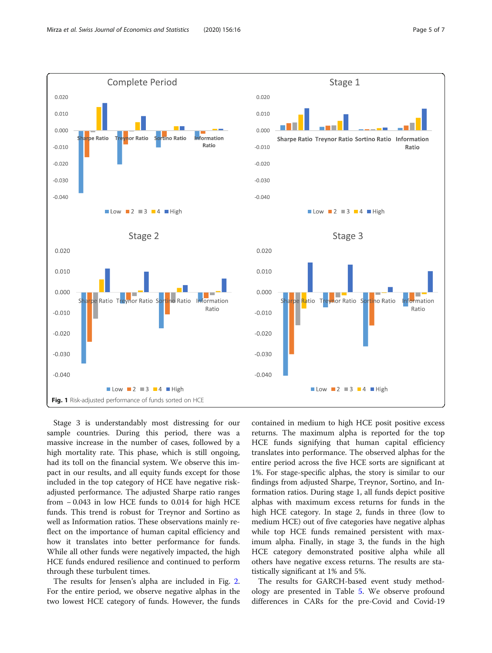<span id="page-4-0"></span>

Stage 3 is understandably most distressing for our sample countries. During this period, there was a massive increase in the number of cases, followed by a high mortality rate. This phase, which is still ongoing, had its toll on the financial system. We observe this impact in our results, and all equity funds except for those included in the top category of HCE have negative riskadjusted performance. The adjusted Sharpe ratio ranges from − 0.043 in low HCE funds to 0.014 for high HCE funds. This trend is robust for Treynor and Sortino as well as Information ratios. These observations mainly reflect on the importance of human capital efficiency and how it translates into better performance for funds. While all other funds were negatively impacted, the high HCE funds endured resilience and continued to perform through these turbulent times.

The results for Jensen's alpha are included in Fig. [2](#page-5-0). For the entire period, we observe negative alphas in the two lowest HCE category of funds. However, the funds contained in medium to high HCE posit positive excess returns. The maximum alpha is reported for the top HCE funds signifying that human capital efficiency translates into performance. The observed alphas for the entire period across the five HCE sorts are significant at 1%. For stage-specific alphas, the story is similar to our findings from adjusted Sharpe, Treynor, Sortino, and Information ratios. During stage 1, all funds depict positive alphas with maximum excess returns for funds in the high HCE category. In stage 2, funds in three (low to medium HCE) out of five categories have negative alphas while top HCE funds remained persistent with maximum alpha. Finally, in stage 3, the funds in the high HCE category demonstrated positive alpha while all others have negative excess returns. The results are statistically significant at 1% and 5%.

The results for GARCH-based event study methodology are presented in Table [5.](#page-5-0) We observe profound differences in CARs for the pre-Covid and Covid-19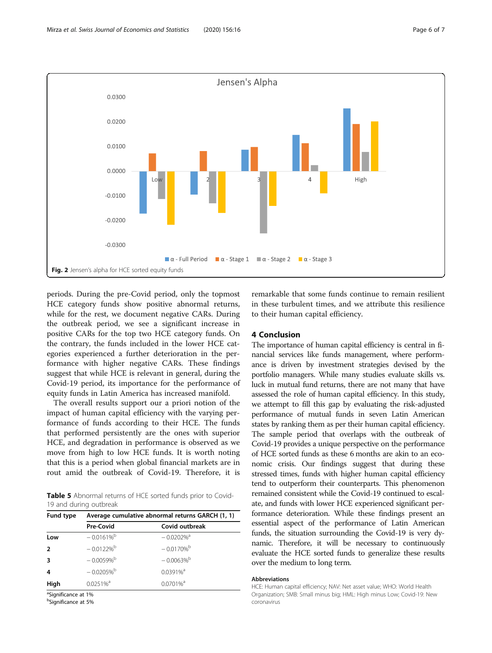<span id="page-5-0"></span>

periods. During the pre-Covid period, only the topmost HCE category funds show positive abnormal returns, while for the rest, we document negative CARs. During the outbreak period, we see a significant increase in positive CARs for the top two HCE category funds. On the contrary, the funds included in the lower HCE categories experienced a further deterioration in the performance with higher negative CARs. These findings suggest that while HCE is relevant in general, during the Covid-19 period, its importance for the performance of equity funds in Latin America has increased manifold.

The overall results support our a priori notion of the impact of human capital efficiency with the varying performance of funds according to their HCE. The funds that performed persistently are the ones with superior HCE, and degradation in performance is observed as we move from high to low HCE funds. It is worth noting that this is a period when global financial markets are in rout amid the outbreak of Covid-19. Therefore, it is

Table 5 Abnormal returns of HCE sorted funds prior to Covid-19 and during outbreak

| Fund type               | Average cumulative abnormal returns GARCH (1, 1) |                          |  |  |  |
|-------------------------|--------------------------------------------------|--------------------------|--|--|--|
|                         | <b>Pre-Covid</b>                                 | Covid outbreak           |  |  |  |
| Low                     | $-0.0161\%$ <sup>b</sup>                         | $-0.0202\%$ <sup>a</sup> |  |  |  |
| $\overline{2}$          | $-0.0122%$ <sup>b</sup>                          | $-0.0170%$ <sup>b</sup>  |  |  |  |
| $\overline{\mathbf{3}}$ | $-0.0059%$ <sup>b</sup>                          | $-0.0063\%$ <sup>b</sup> |  |  |  |
| 4                       | $-0.0205%$                                       | $0.0391\%$ <sup>a</sup>  |  |  |  |
| High                    | $0.0251\%$ <sup>a</sup>                          | $0.0701\%$ <sup>a</sup>  |  |  |  |
|                         |                                                  |                          |  |  |  |

<sup>a</sup>Significance at 1%

b Significance at 5%

remarkable that some funds continue to remain resilient in these turbulent times, and we attribute this resilience to their human capital efficiency.

#### 4 Conclusion

The importance of human capital efficiency is central in financial services like funds management, where performance is driven by investment strategies devised by the portfolio managers. While many studies evaluate skills vs. luck in mutual fund returns, there are not many that have assessed the role of human capital efficiency. In this study, we attempt to fill this gap by evaluating the risk-adjusted performance of mutual funds in seven Latin American states by ranking them as per their human capital efficiency. The sample period that overlaps with the outbreak of Covid-19 provides a unique perspective on the performance of HCE sorted funds as these 6 months are akin to an economic crisis. Our findings suggest that during these stressed times, funds with higher human capital efficiency tend to outperform their counterparts. This phenomenon remained consistent while the Covid-19 continued to escalate, and funds with lower HCE experienced significant performance deterioration. While these findings present an essential aspect of the performance of Latin American funds, the situation surrounding the Covid-19 is very dynamic. Therefore, it will be necessary to continuously evaluate the HCE sorted funds to generalize these results over the medium to long term.

#### Abbreviations

HCE: Human capital efficiency; NAV: Net asset value; WHO: World Health Organization; SMB: Small minus big; HML: High minus Low; Covid-19: New coronavirus